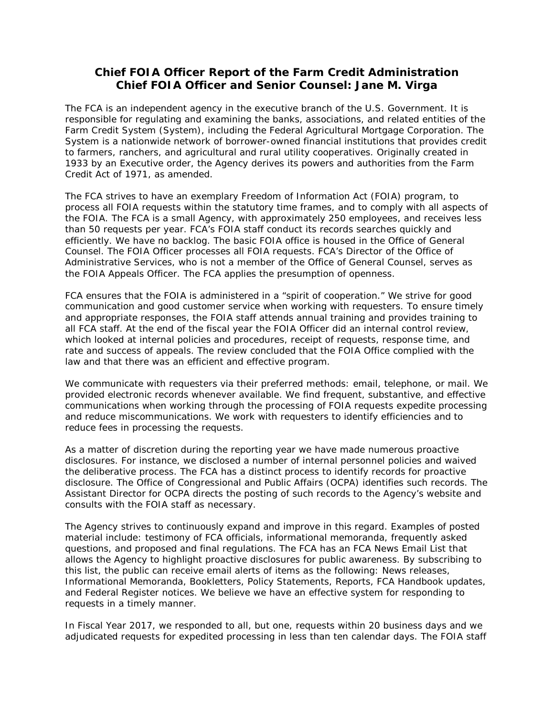## **Chief FOIA Officer Report of the Farm Credit Administration Chief FOIA Officer and Senior Counsel: Jane M. Virga**

The FCA is an independent agency in the executive branch of the U.S. Government. It is responsible for regulating and examining the banks, associations, and related entities of the Farm Credit System (System), including the Federal Agricultural Mortgage Corporation. The System is a nationwide network of borrower-owned financial institutions that provides credit to farmers, ranchers, and agricultural and rural utility cooperatives. Originally created in 1933 by an Executive order, the Agency derives its powers and authorities from the Farm Credit Act of 1971, as amended.

The FCA strives to have an exemplary Freedom of Information Act (FOIA) program, to process all FOIA requests within the statutory time frames, and to comply with all aspects of the FOIA. The FCA is a small Agency, with approximately 250 employees, and receives less than 50 requests per year. FCA's FOIA staff conduct its records searches quickly and efficiently. We have no backlog. The basic FOIA office is housed in the Office of General Counsel. The FOIA Officer processes all FOIA requests. FCA's Director of the Office of Administrative Services, who is not a member of the Office of General Counsel, serves as the FOIA Appeals Officer. The FCA applies the presumption of openness.

FCA ensures that the FOIA is administered in a "spirit of cooperation." We strive for good communication and good customer service when working with requesters. To ensure timely and appropriate responses, the FOIA staff attends annual training and provides training to all FCA staff. At the end of the fiscal year the FOIA Officer did an internal control review, which looked at internal policies and procedures, receipt of requests, response time, and rate and success of appeals. The review concluded that the FOIA Office complied with the law and that there was an efficient and effective program.

We communicate with requesters via their preferred methods: email, telephone, or mail. We provided electronic records whenever available. We find frequent, substantive, and effective communications when working through the processing of FOIA requests expedite processing and reduce miscommunications. We work with requesters to identify efficiencies and to reduce fees in processing the requests.

As a matter of discretion during the reporting year we have made numerous proactive disclosures. For instance, we disclosed a number of internal personnel policies and waived the deliberative process. The FCA has a distinct process to identify records for proactive disclosure. The Office of Congressional and Public Affairs (OCPA) identifies such records. The Assistant Director for OCPA directs the posting of such records to the Agency's website and consults with the FOIA staff as necessary.

The Agency strives to continuously expand and improve in this regard. Examples of posted material include: testimony of FCA officials, informational memoranda, frequently asked questions, and proposed and final regulations. The FCA has an FCA News Email List that allows the Agency to highlight proactive disclosures for public awareness. By subscribing to this list, the public can receive email alerts of items as the following: News releases, Informational Memoranda, Bookletters, Policy Statements, Reports, FCA Handbook updates, and Federal Register notices. We believe we have an effective system for responding to requests in a timely manner.

In Fiscal Year 2017, we responded to all, but one, requests within 20 business days and we adjudicated requests for expedited processing in less than ten calendar days. The FOIA staff